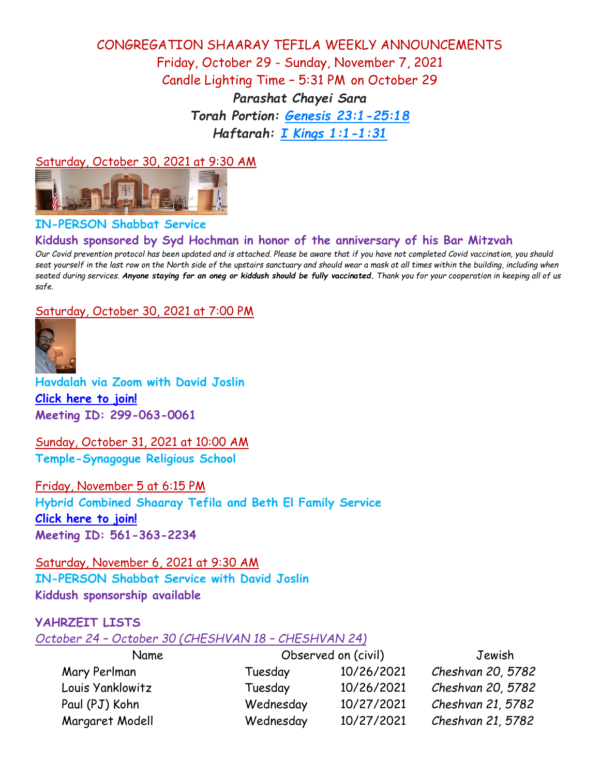## CONGREGATION SHAARAY TEFILA WEEKLY ANNOUNCEMENTS Friday, October 29 - Sunday, November 7, 2021 Candle Lighting Time – 5:31 PM on October 29 *Parashat Chayei Sara Torah Portion: [Genesis 23:1-25:18](https://www.sefaria.org/Genesis.23.1-25.18?lang=bi&aliyot=1) Haftarah: [I Kings 1:1-1:31](https://www.sefaria.org/I_Kings.1.1-31?lang=bi)*

### Saturday, October 30, 2021 at 9:30 AM



## **IN-PERSON Shabbat Service**

## **Kiddush sponsored by Syd Hochman in honor of the anniversary of his Bar Mitzvah**

*Our Covid prevention protocol has been updated and is attached. Please be aware that if you have not completed Covid vaccination, you should seat yourself in the last row on the North side of the upstairs sanctuary and should wear a mask at all times within the building, including when seated during services. Anyone staying for an oneg or kiddush should be fully vaccinated. Thank you for your cooperation in keeping all of us safe.*

#### Saturday, October 30, 2021 at 7:00 PM



**Havdalah via Zoom with David Joslin [Click here to join!](https://us02web.zoom.us/j/2990630061) Meeting ID: 299-063-0061**

Sunday, October 31, 2021 at 10:00 AM **Temple-Synagogue Religious School**

Friday, November 5 at 6:15 PM **Hybrid Combined Shaaray Tefila and Beth El Family Service [Click here to join!](https://us02web.zoom.us/j/5613632234) Meeting ID: 561-363-2234**

Saturday, November 6, 2021 at 9:30 AM **IN-PERSON Shabbat Service with David Joslin Kiddush sponsorship available**

## **YAHRZEIT LISTS**

#### *October 24 – October 30 (CHESHVAN 18 – CHESHVAN 24)*

| Name             | Observed on (civil) |            | Jewish            |  |
|------------------|---------------------|------------|-------------------|--|
| Mary Perlman     | Tuesday             | 10/26/2021 | Cheshvan 20, 5782 |  |
| Louis Yanklowitz | Tuesday             | 10/26/2021 | Cheshvan 20, 5782 |  |
| Paul (PJ) Kohn   | Wednesday           | 10/27/2021 | Cheshvan 21, 5782 |  |
| Margaret Modell  | Wednesday           | 10/27/2021 | Cheshvan 21, 5782 |  |